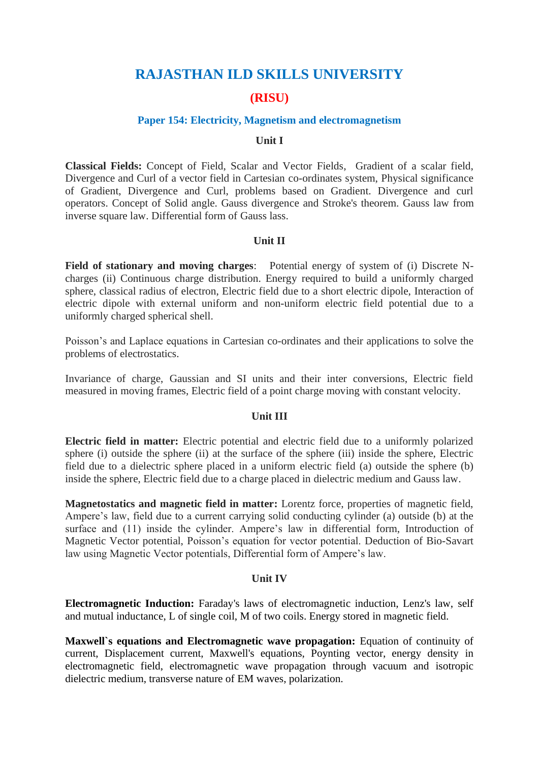# **RAJASTHAN ILD SKILLS UNIVERSITY**

# **(RISU)**

### **Paper 154: Electricity, Magnetism and electromagnetism**

#### **Unit I**

**Classical Fields:** Concept of Field, Scalar and Vector Fields, Gradient of a scalar field, Divergence and Curl of a vector field in Cartesian co-ordinates system, Physical significance of Gradient, Divergence and Curl, problems based on Gradient. Divergence and curl operators. Concept of Solid angle. Gauss divergence and Stroke's theorem. Gauss law from inverse square law. Differential form of Gauss lass.

#### **Unit II**

**Field of stationary and moving charges**: Potential energy of system of (i) Discrete Ncharges (ii) Continuous charge distribution. Energy required to build a uniformly charged sphere, classical radius of electron, Electric field due to a short electric dipole, Interaction of electric dipole with external uniform and non-uniform electric field potential due to a uniformly charged spherical shell.

Poisson's and Laplace equations in Cartesian co-ordinates and their applications to solve the problems of electrostatics.

Invariance of charge, Gaussian and SI units and their inter conversions, Electric field measured in moving frames, Electric field of a point charge moving with constant velocity.

### **Unit III**

**Electric field in matter:** Electric potential and electric field due to a uniformly polarized sphere (i) outside the sphere (ii) at the surface of the sphere (iii) inside the sphere, Electric field due to a dielectric sphere placed in a uniform electric field (a) outside the sphere (b) inside the sphere, Electric field due to a charge placed in dielectric medium and Gauss law.

**Magnetostatics and magnetic field in matter:** Lorentz force, properties of magnetic field, Ampere's law, field due to a current carrying solid conducting cylinder (a) outside (b) at the surface and (11) inside the cylinder. Ampere's law in differential form, Introduction of Magnetic Vector potential, Poisson's equation for vector potential. Deduction of Bio-Savart law using Magnetic Vector potentials, Differential form of Ampere's law.

#### **Unit IV**

**Electromagnetic Induction:** Faraday's laws of electromagnetic induction, Lenz's law, self and mutual inductance, L of single coil, M of two coils. Energy stored in magnetic field.

**Maxwell`s equations and Electromagnetic wave propagation:** Equation of continuity of current, Displacement current, Maxwell's equations, Poynting vector, energy density in electromagnetic field, electromagnetic wave propagation through vacuum and isotropic dielectric medium, transverse nature of EM waves, polarization.